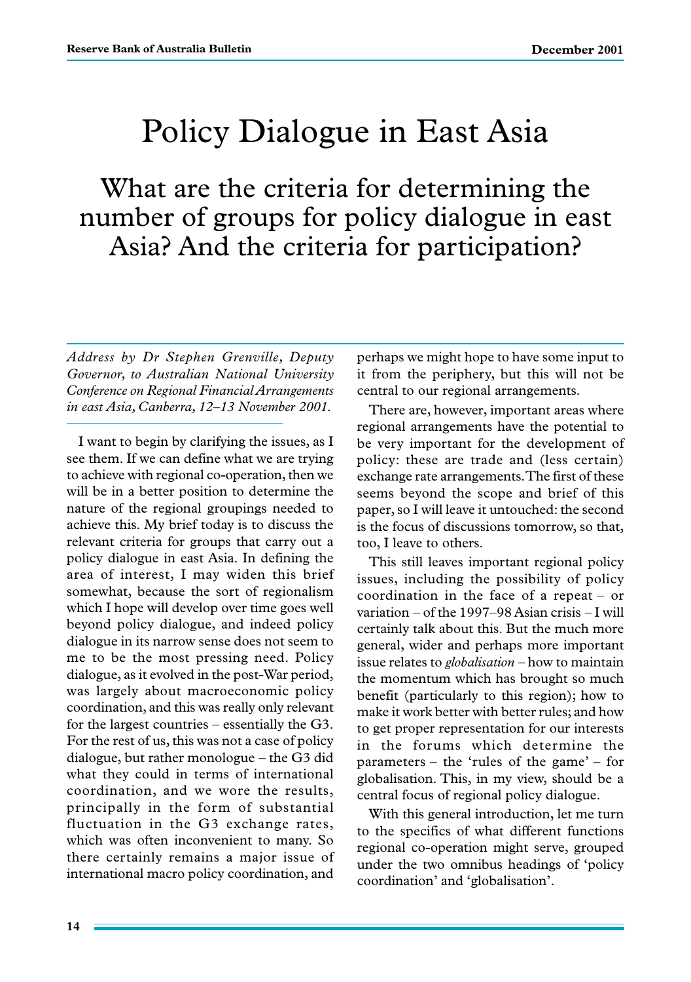# Policy Dialogue in East Asia

What are the criteria for determining the number of groups for policy dialogue in east Asia? And the criteria for participation?

*Address by Dr Stephen Grenville, Deputy Governor, to Australian National University Conference on Regional Financial Arrangements in east Asia, Canberra, 12–13 November 2001.*

I want to begin by clarifying the issues, as I see them. If we can define what we are trying to achieve with regional co-operation, then we will be in a better position to determine the nature of the regional groupings needed to achieve this. My brief today is to discuss the relevant criteria for groups that carry out a policy dialogue in east Asia. In defining the area of interest, I may widen this brief somewhat, because the sort of regionalism which I hope will develop over time goes well beyond policy dialogue, and indeed policy dialogue in its narrow sense does not seem to me to be the most pressing need. Policy dialogue, as it evolved in the post-War period, was largely about macroeconomic policy coordination, and this was really only relevant for the largest countries – essentially the G3. For the rest of us, this was not a case of policy dialogue, but rather monologue – the G3 did what they could in terms of international coordination, and we wore the results, principally in the form of substantial fluctuation in the G3 exchange rates, which was often inconvenient to many. So there certainly remains a major issue of international macro policy coordination, and perhaps we might hope to have some input to it from the periphery, but this will not be central to our regional arrangements.

There are, however, important areas where regional arrangements have the potential to be very important for the development of policy: these are trade and (less certain) exchange rate arrangements. The first of these seems beyond the scope and brief of this paper, so I will leave it untouched: the second is the focus of discussions tomorrow, so that, too, I leave to others.

This still leaves important regional policy issues, including the possibility of policy coordination in the face of a repeat – or variation – of the 1997–98 Asian crisis – I will certainly talk about this. But the much more general, wider and perhaps more important issue relates to *globalisation* – how to maintain the momentum which has brought so much benefit (particularly to this region); how to make it work better with better rules; and how to get proper representation for our interests in the forums which determine the parameters – the 'rules of the game' – for globalisation. This, in my view, should be a central focus of regional policy dialogue.

With this general introduction, let me turn to the specifics of what different functions regional co-operation might serve, grouped under the two omnibus headings of 'policy coordination' and 'globalisation'.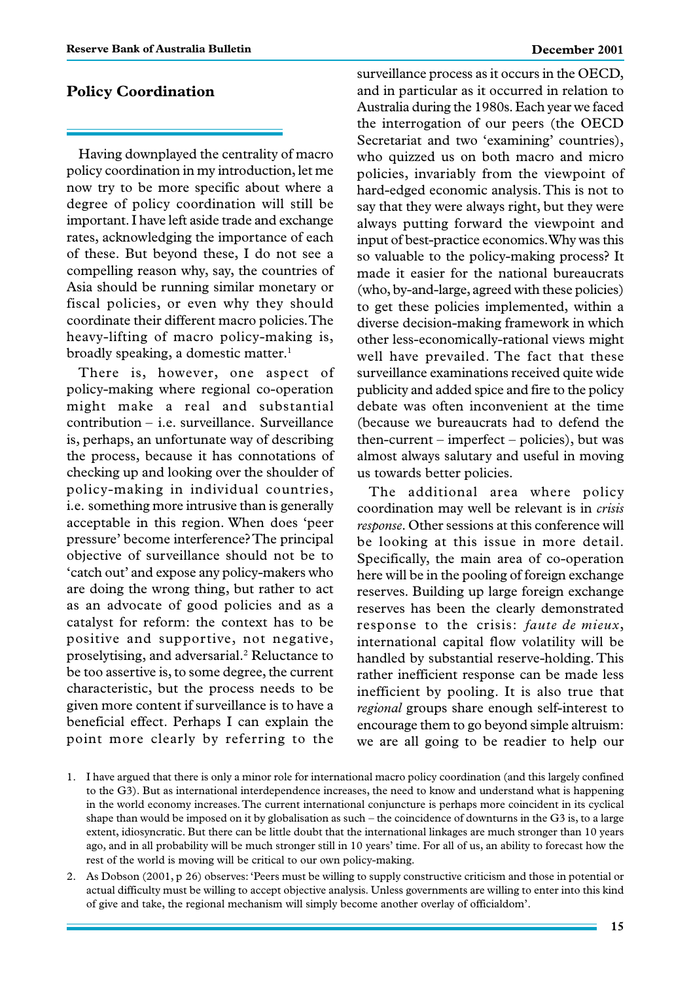#### **Policy Coordination**

Having downplayed the centrality of macro policy coordination in my introduction, let me now try to be more specific about where a degree of policy coordination will still be important. I have left aside trade and exchange rates, acknowledging the importance of each of these. But beyond these, I do not see a compelling reason why, say, the countries of Asia should be running similar monetary or fiscal policies, or even why they should coordinate their different macro policies. The heavy-lifting of macro policy-making is, broadly speaking, a domestic matter.<sup>1</sup>

There is, however, one aspect of policy-making where regional co-operation might make a real and substantial contribution – i.e. surveillance. Surveillance is, perhaps, an unfortunate way of describing the process, because it has connotations of checking up and looking over the shoulder of policy-making in individual countries, i.e. something more intrusive than is generally acceptable in this region. When does 'peer pressure' become interference? The principal objective of surveillance should not be to 'catch out' and expose any policy-makers who are doing the wrong thing, but rather to act as an advocate of good policies and as a catalyst for reform: the context has to be positive and supportive, not negative, proselytising, and adversarial.2 Reluctance to be too assertive is, to some degree, the current characteristic, but the process needs to be given more content if surveillance is to have a beneficial effect. Perhaps I can explain the point more clearly by referring to the surveillance process as it occurs in the OECD, and in particular as it occurred in relation to Australia during the 1980s. Each year we faced the interrogation of our peers (the OECD Secretariat and two 'examining' countries), who quizzed us on both macro and micro policies, invariably from the viewpoint of hard-edged economic analysis. This is not to say that they were always right, but they were always putting forward the viewpoint and input of best-practice economics. Why was this so valuable to the policy-making process? It made it easier for the national bureaucrats (who, by-and-large, agreed with these policies) to get these policies implemented, within a diverse decision-making framework in which other less-economically-rational views might well have prevailed. The fact that these surveillance examinations received quite wide publicity and added spice and fire to the policy debate was often inconvenient at the time (because we bureaucrats had to defend the then-current – imperfect – policies), but was almost always salutary and useful in moving us towards better policies.

The additional area where policy coordination may well be relevant is in *crisis response*. Other sessions at this conference will be looking at this issue in more detail. Specifically, the main area of co-operation here will be in the pooling of foreign exchange reserves. Building up large foreign exchange reserves has been the clearly demonstrated response to the crisis: *faute de mieux*, international capital flow volatility will be handled by substantial reserve-holding. This rather inefficient response can be made less inefficient by pooling. It is also true that *regional* groups share enough self-interest to encourage them to go beyond simple altruism: we are all going to be readier to help our

- 1. I have argued that there is only a minor role for international macro policy coordination (and this largely confined to the G3). But as international interdependence increases, the need to know and understand what is happening in the world economy increases. The current international conjuncture is perhaps more coincident in its cyclical shape than would be imposed on it by globalisation as such – the coincidence of downturns in the G3 is, to a large extent, idiosyncratic. But there can be little doubt that the international linkages are much stronger than 10 years ago, and in all probability will be much stronger still in 10 years' time. For all of us, an ability to forecast how the rest of the world is moving will be critical to our own policy-making.
- 2. As Dobson (2001, p 26) observes: 'Peers must be willing to supply constructive criticism and those in potential or actual difficulty must be willing to accept objective analysis. Unless governments are willing to enter into this kind of give and take, the regional mechanism will simply become another overlay of officialdom'.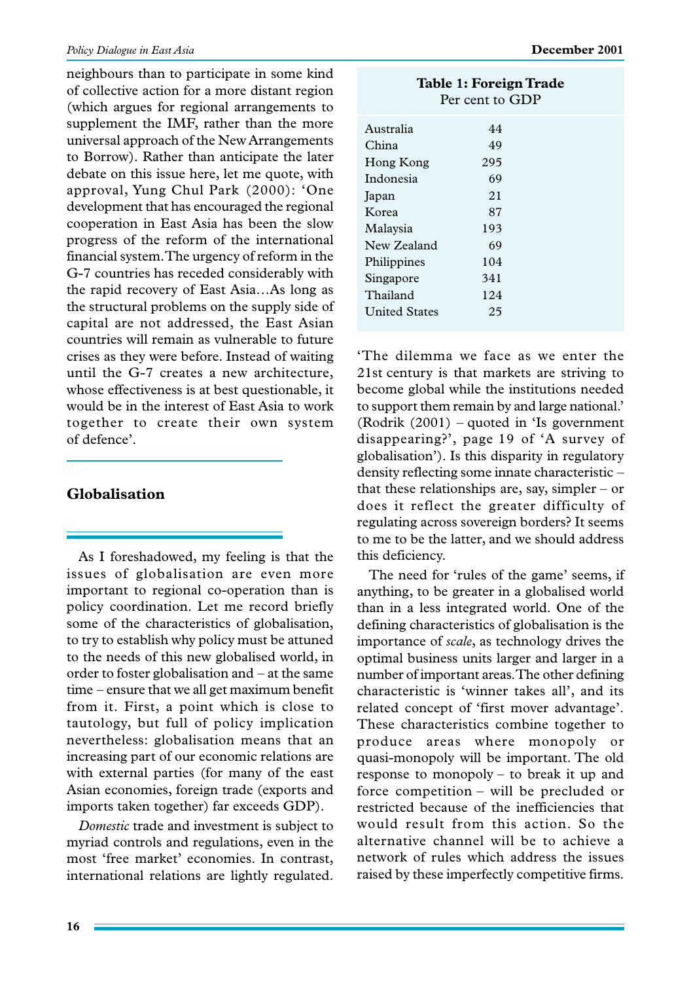neighbours than to participate in some kind of collective action for a more distant region (which argues for regional arrangements to supplement the IMF, rather than the more universal approach of the New Arrangements to Borrow). Rather than anticipate the later debate on this issue here, let me quote, with approval, Yung Chul Park (2000): 'One development that has encouraged the regional cooperation in East Asia has been the slow progress of the reform of the international financial system. The urgency of reform in the G-7 countries has receded considerably with the rapid recovery of East Asia…As long as the structural problems on the supply side of capital are not addressed, the East Asian countries will remain as vulnerable to future crises as they were before. Instead of waiting until the G-7 creates a new architecture, whose effectiveness is at best questionable, it would be in the interest of East Asia to work together to create their own system of defence'.

## **Globalisation**

As I foreshadowed, my feeling is that the issues of globalisation are even more important to regional co-operation than is policy coordination. Let me record briefly some of the characteristics of globalisation, to try to establish why policy must be attuned to the needs of this new globalised world, in order to foster globalisation and – at the same time – ensure that we all get maximum benefit from it. First, a point which is close to tautology, but full of policy implication nevertheless: globalisation means that an increasing part of our economic relations are with external parties (for many of the east Asian economies, foreign trade (exports and imports taken together) far exceeds GDP).

*Domestic* trade and investment is subject to myriad controls and regulations, even in the most 'free market' economies. In contrast, international relations are lightly regulated.

| Table 1: Foreign Trade<br>Per cent to GDP |     |  |
|-------------------------------------------|-----|--|
| Australia                                 | 44  |  |
| China                                     | 49  |  |
| Hong Kong                                 | 295 |  |
| Indonesia                                 | 69  |  |
| Japan                                     | 21  |  |
| Korea                                     | 87  |  |
| Malaysia                                  | 193 |  |
| New Zealand                               | 69  |  |
| Philippines                               | 104 |  |
| Singapore                                 | 341 |  |
| Thailand                                  | 124 |  |
| <b>United States</b>                      | 25  |  |

'The dilemma we face as we enter the 21st century is that markets are striving to become global while the institutions needed to support them remain by and large national.' (Rodrik (2001) – quoted in 'Is government disappearing?', page 19 of 'A survey of globalisation'). Is this disparity in regulatory density reflecting some innate characteristic – that these relationships are, say, simpler – or does it reflect the greater difficulty of regulating across sovereign borders? It seems to me to be the latter, and we should address this deficiency.

The need for 'rules of the game' seems, if anything, to be greater in a globalised world than in a less integrated world. One of the defining characteristics of globalisation is the importance of *scale*, as technology drives the optimal business units larger and larger in a number of important areas. The other defining characteristic is 'winner takes all', and its related concept of 'first mover advantage'. These characteristics combine together to produce areas where monopoly or quasi-monopoly will be important. The old response to monopoly – to break it up and force competition – will be precluded or restricted because of the inefficiencies that would result from this action. So the alternative channel will be to achieve a network of rules which address the issues raised by these imperfectly competitive firms.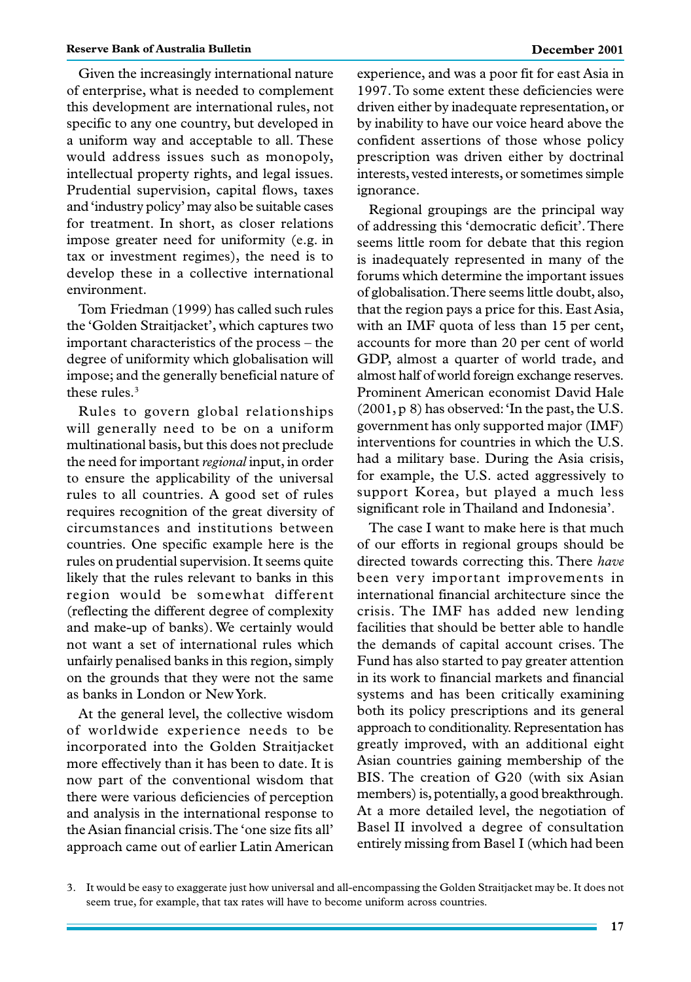Given the increasingly international nature of enterprise, what is needed to complement this development are international rules, not specific to any one country, but developed in a uniform way and acceptable to all. These would address issues such as monopoly, intellectual property rights, and legal issues. Prudential supervision, capital flows, taxes and 'industry policy'may also be suitable cases for treatment. In short, as closer relations impose greater need for uniformity (e.g. in tax or investment regimes), the need is to develop these in a collective international environment.

Tom Friedman (1999) has called such rules the 'Golden Straitjacket', which captures two important characteristics of the process – the degree of uniformity which globalisation will impose; and the generally beneficial nature of these rules.<sup>3</sup>

Rules to govern global relationships will generally need to be on a uniform multinational basis, but this does not preclude the need for important *regional* input, in order to ensure the applicability of the universal rules to all countries. A good set of rules requires recognition of the great diversity of circumstances and institutions between countries. One specific example here is the rules on prudential supervision. It seems quite likely that the rules relevant to banks in this region would be somewhat different (reflecting the different degree of complexity and make-up of banks). We certainly would not want a set of international rules which unfairly penalised banks in this region, simply on the grounds that they were not the same as banks in London or New York.

At the general level, the collective wisdom of worldwide experience needs to be incorporated into the Golden Straitjacket more effectively than it has been to date. It is now part of the conventional wisdom that there were various deficiencies of perception and analysis in the international response to the Asian financial crisis. The 'one size fits all' approach came out of earlier Latin American experience, and was a poor fit for east Asia in 1997. To some extent these deficiencies were driven either by inadequate representation, or by inability to have our voice heard above the confident assertions of those whose policy prescription was driven either by doctrinal interests, vested interests, or sometimes simple ignorance.

Regional groupings are the principal way of addressing this 'democratic deficit'. There seems little room for debate that this region is inadequately represented in many of the forums which determine the important issues of globalisation. There seems little doubt, also, that the region pays a price for this. East Asia, with an IMF quota of less than 15 per cent, accounts for more than 20 per cent of world GDP, almost a quarter of world trade, and almost half of world foreign exchange reserves. Prominent American economist David Hale (2001, p 8) has observed: 'In the past, the U.S. government has only supported major (IMF) interventions for countries in which the U.S. had a military base. During the Asia crisis, for example, the U.S. acted aggressively to support Korea, but played a much less significant role in Thailand and Indonesia'.

The case I want to make here is that much of our efforts in regional groups should be directed towards correcting this. There *have* been very important improvements in international financial architecture since the crisis. The IMF has added new lending facilities that should be better able to handle the demands of capital account crises. The Fund has also started to pay greater attention in its work to financial markets and financial systems and has been critically examining both its policy prescriptions and its general approach to conditionality. Representation has greatly improved, with an additional eight Asian countries gaining membership of the BIS. The creation of G20 (with six Asian members) is, potentially, a good breakthrough. At a more detailed level, the negotiation of Basel II involved a degree of consultation entirely missing from Basel I (which had been

<sup>3.</sup> It would be easy to exaggerate just how universal and all-encompassing the Golden Straitjacket may be. It does not seem true, for example, that tax rates will have to become uniform across countries.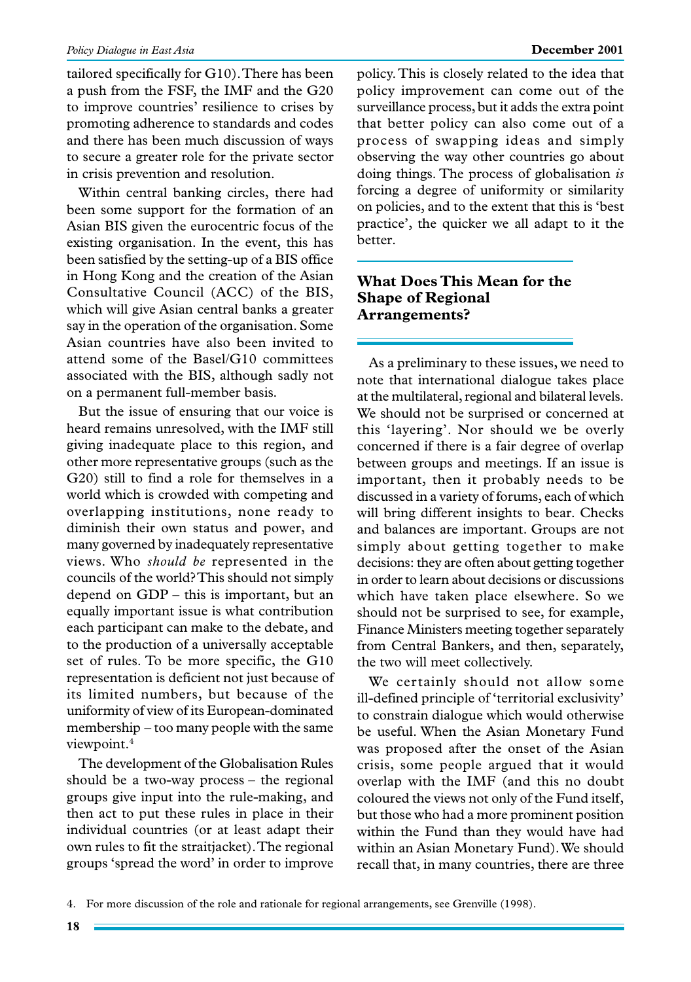#### *Policy Dialogue in East Asia* **December 2001**

tailored specifically for G10). There has been a push from the FSF, the IMF and the G20 to improve countries' resilience to crises by promoting adherence to standards and codes and there has been much discussion of ways to secure a greater role for the private sector in crisis prevention and resolution.

Within central banking circles, there had been some support for the formation of an Asian BIS given the eurocentric focus of the existing organisation. In the event, this has been satisfied by the setting-up of a BIS office in Hong Kong and the creation of the Asian Consultative Council (ACC) of the BIS, which will give Asian central banks a greater say in the operation of the organisation. Some Asian countries have also been invited to attend some of the Basel/G10 committees associated with the BIS, although sadly not on a permanent full-member basis.

But the issue of ensuring that our voice is heard remains unresolved, with the IMF still giving inadequate place to this region, and other more representative groups (such as the G20) still to find a role for themselves in a world which is crowded with competing and overlapping institutions, none ready to diminish their own status and power, and many governed by inadequately representative views. Who *should be* represented in the councils of the world? This should not simply depend on GDP – this is important, but an equally important issue is what contribution each participant can make to the debate, and to the production of a universally acceptable set of rules. To be more specific, the G10 representation is deficient not just because of its limited numbers, but because of the uniformity of view of its European-dominated membership – too many people with the same viewpoint.4

The development of the Globalisation Rules should be a two-way process – the regional groups give input into the rule-making, and then act to put these rules in place in their individual countries (or at least adapt their own rules to fit the straitjacket). The regional groups 'spread the word' in order to improve policy. This is closely related to the idea that policy improvement can come out of the surveillance process, but it adds the extra point that better policy can also come out of a process of swapping ideas and simply observing the way other countries go about doing things. The process of globalisation *is* forcing a degree of uniformity or similarity on policies, and to the extent that this is 'best practice', the quicker we all adapt to it the better.

#### **What Does This Mean for the Shape of Regional Arrangements?**

As a preliminary to these issues, we need to note that international dialogue takes place at the multilateral, regional and bilateral levels. We should not be surprised or concerned at this 'layering'. Nor should we be overly concerned if there is a fair degree of overlap between groups and meetings. If an issue is important, then it probably needs to be discussed in a variety of forums, each of which will bring different insights to bear. Checks and balances are important. Groups are not simply about getting together to make decisions: they are often about getting together in order to learn about decisions or discussions which have taken place elsewhere. So we should not be surprised to see, for example, Finance Ministers meeting together separately from Central Bankers, and then, separately, the two will meet collectively.

We certainly should not allow some ill-defined principle of 'territorial exclusivity' to constrain dialogue which would otherwise be useful. When the Asian Monetary Fund was proposed after the onset of the Asian crisis, some people argued that it would overlap with the IMF (and this no doubt coloured the views not only of the Fund itself, but those who had a more prominent position within the Fund than they would have had within an Asian Monetary Fund). We should recall that, in many countries, there are three

4. For more discussion of the role and rationale for regional arrangements, see Grenville (1998).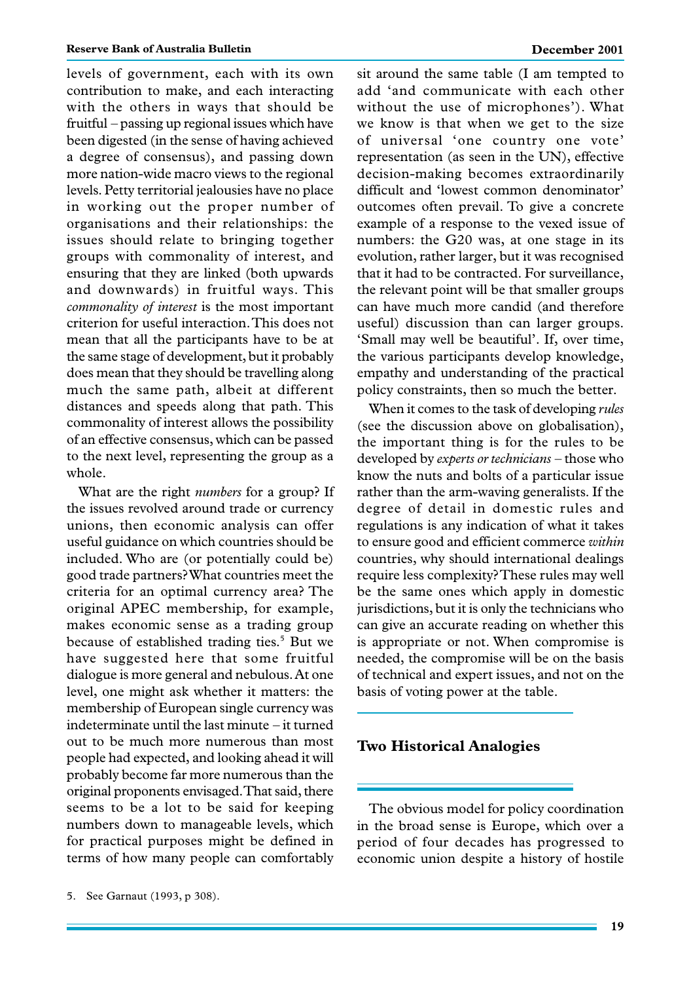levels of government, each with its own contribution to make, and each interacting with the others in ways that should be fruitful – passing up regional issues which have been digested (in the sense of having achieved a degree of consensus), and passing down more nation-wide macro views to the regional levels. Petty territorial jealousies have no place in working out the proper number of organisations and their relationships: the issues should relate to bringing together groups with commonality of interest, and ensuring that they are linked (both upwards and downwards) in fruitful ways. This *commonality of interest* is the most important criterion for useful interaction. This does not mean that all the participants have to be at the same stage of development, but it probably does mean that they should be travelling along much the same path, albeit at different distances and speeds along that path. This commonality of interest allows the possibility of an effective consensus, which can be passed to the next level, representing the group as a whole.

What are the right *numbers* for a group? If the issues revolved around trade or currency unions, then economic analysis can offer useful guidance on which countries should be included. Who are (or potentially could be) good trade partners? What countries meet the criteria for an optimal currency area? The original APEC membership, for example, makes economic sense as a trading group because of established trading ties.<sup>5</sup> But we have suggested here that some fruitful dialogue is more general and nebulous. At one level, one might ask whether it matters: the membership of European single currency was indeterminate until the last minute – it turned out to be much more numerous than most people had expected, and looking ahead it will probably become far more numerous than the original proponents envisaged. That said, there seems to be a lot to be said for keeping numbers down to manageable levels, which for practical purposes might be defined in terms of how many people can comfortably sit around the same table (I am tempted to add 'and communicate with each other without the use of microphones'). What we know is that when we get to the size of universal 'one country one vote' representation (as seen in the UN), effective decision-making becomes extraordinarily difficult and 'lowest common denominator' outcomes often prevail. To give a concrete example of a response to the vexed issue of numbers: the G20 was, at one stage in its evolution, rather larger, but it was recognised that it had to be contracted. For surveillance, the relevant point will be that smaller groups can have much more candid (and therefore useful) discussion than can larger groups. 'Small may well be beautiful'. If, over time, the various participants develop knowledge, empathy and understanding of the practical policy constraints, then so much the better.

When it comes to the task of developing *rules* (see the discussion above on globalisation), the important thing is for the rules to be developed by *experts or technicians* – those who know the nuts and bolts of a particular issue rather than the arm-waving generalists. If the degree of detail in domestic rules and regulations is any indication of what it takes to ensure good and efficient commerce *within* countries, why should international dealings require less complexity? These rules may well be the same ones which apply in domestic jurisdictions, but it is only the technicians who can give an accurate reading on whether this is appropriate or not. When compromise is needed, the compromise will be on the basis of technical and expert issues, and not on the basis of voting power at the table.

#### **Two Historical Analogies**

The obvious model for policy coordination in the broad sense is Europe, which over a period of four decades has progressed to economic union despite a history of hostile

<sup>5.</sup> See Garnaut (1993, p 308).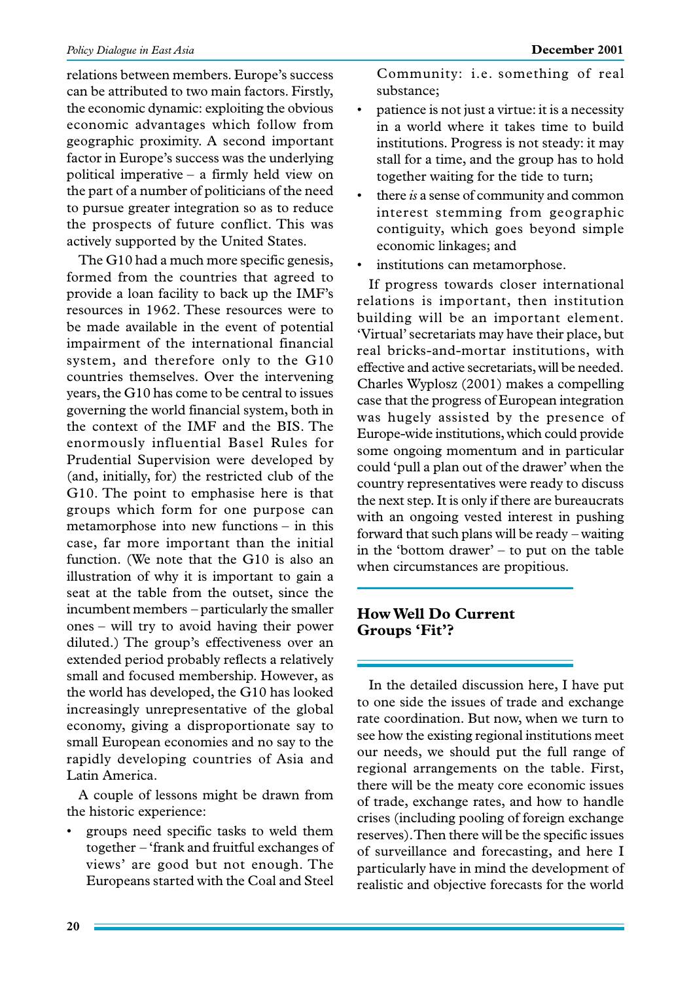relations between members. Europe's success can be attributed to two main factors. Firstly, the economic dynamic: exploiting the obvious economic advantages which follow from geographic proximity. A second important factor in Europe's success was the underlying political imperative – a firmly held view on the part of a number of politicians of the need to pursue greater integration so as to reduce the prospects of future conflict. This was actively supported by the United States.

The G10 had a much more specific genesis, formed from the countries that agreed to provide a loan facility to back up the IMF's resources in 1962. These resources were to be made available in the event of potential impairment of the international financial system, and therefore only to the G10 countries themselves. Over the intervening years, the G10 has come to be central to issues governing the world financial system, both in the context of the IMF and the BIS. The enormously influential Basel Rules for Prudential Supervision were developed by (and, initially, for) the restricted club of the G10. The point to emphasise here is that groups which form for one purpose can metamorphose into new functions – in this case, far more important than the initial function. (We note that the G10 is also an illustration of why it is important to gain a seat at the table from the outset, since the incumbent members – particularly the smaller ones – will try to avoid having their power diluted.) The group's effectiveness over an extended period probably reflects a relatively small and focused membership. However, as the world has developed, the G10 has looked increasingly unrepresentative of the global economy, giving a disproportionate say to small European economies and no say to the rapidly developing countries of Asia and Latin America.

A couple of lessons might be drawn from the historic experience:

• groups need specific tasks to weld them together – 'frank and fruitful exchanges of views' are good but not enough. The Europeans started with the Coal and Steel

Community: i.e. something of real substance;

- patience is not just a virtue: it is a necessity in a world where it takes time to build institutions. Progress is not steady: it may stall for a time, and the group has to hold together waiting for the tide to turn;
- there *is* a sense of community and common interest stemming from geographic contiguity, which goes beyond simple economic linkages; and
- institutions can metamorphose.

If progress towards closer international relations is important, then institution building will be an important element. 'Virtual'secretariats may have their place, but real bricks-and-mortar institutions, with effective and active secretariats, will be needed. Charles Wyplosz (2001) makes a compelling case that the progress of European integration was hugely assisted by the presence of Europe-wide institutions, which could provide some ongoing momentum and in particular could 'pull a plan out of the drawer' when the country representatives were ready to discuss the next step. It is only if there are bureaucrats with an ongoing vested interest in pushing forward that such plans will be ready – waiting in the 'bottom drawer' – to put on the table when circumstances are propitious.

### **How Well Do Current Groups 'Fit'?**

In the detailed discussion here, I have put to one side the issues of trade and exchange rate coordination. But now, when we turn to see how the existing regional institutions meet our needs, we should put the full range of regional arrangements on the table. First, there will be the meaty core economic issues of trade, exchange rates, and how to handle crises (including pooling of foreign exchange reserves). Then there will be the specific issues of surveillance and forecasting, and here I particularly have in mind the development of realistic and objective forecasts for the world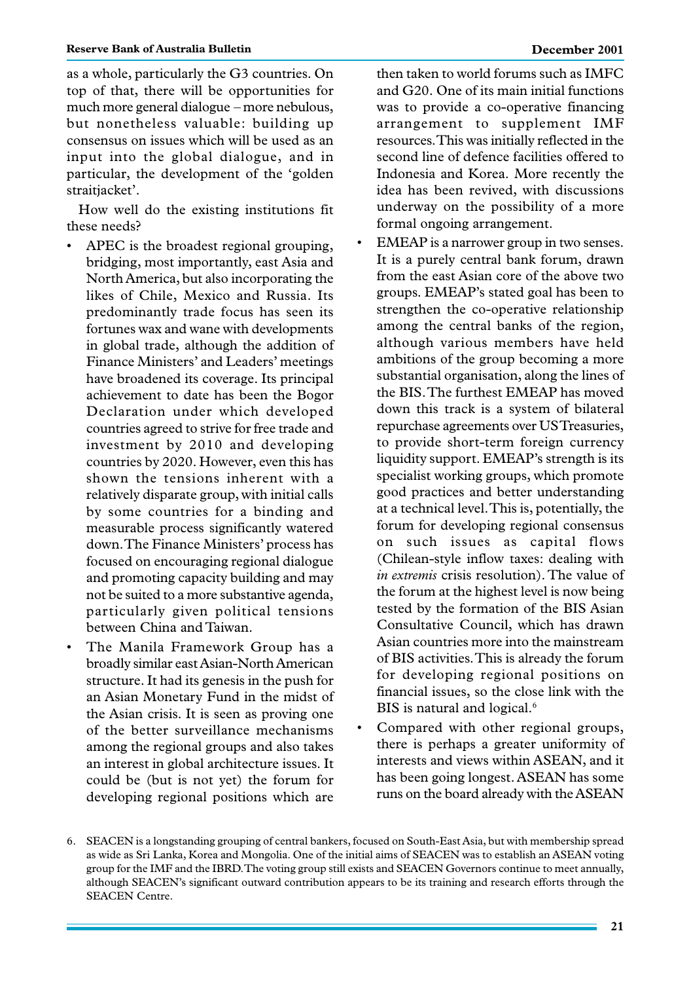as a whole, particularly the G3 countries. On top of that, there will be opportunities for much more general dialogue – more nebulous, but nonetheless valuable: building up consensus on issues which will be used as an input into the global dialogue, and in particular, the development of the 'golden straitjacket'.

How well do the existing institutions fit these needs?

- APEC is the broadest regional grouping, bridging, most importantly, east Asia and North America, but also incorporating the likes of Chile, Mexico and Russia. Its predominantly trade focus has seen its fortunes wax and wane with developments in global trade, although the addition of Finance Ministers' and Leaders' meetings have broadened its coverage. Its principal achievement to date has been the Bogor Declaration under which developed countries agreed to strive for free trade and investment by 2010 and developing countries by 2020. However, even this has shown the tensions inherent with a relatively disparate group, with initial calls by some countries for a binding and measurable process significantly watered down. The Finance Ministers' process has focused on encouraging regional dialogue and promoting capacity building and may not be suited to a more substantive agenda, particularly given political tensions between China and Taiwan.
- The Manila Framework Group has a broadly similar east Asian-North American structure. It had its genesis in the push for an Asian Monetary Fund in the midst of the Asian crisis. It is seen as proving one of the better surveillance mechanisms among the regional groups and also takes an interest in global architecture issues. It could be (but is not yet) the forum for developing regional positions which are

then taken to world forums such as IMFC and G20. One of its main initial functions was to provide a co-operative financing arrangement to supplement IMF resources. This was initially reflected in the second line of defence facilities offered to Indonesia and Korea. More recently the idea has been revived, with discussions underway on the possibility of a more formal ongoing arrangement.

- EMEAP is a narrower group in two senses. It is a purely central bank forum, drawn from the east Asian core of the above two groups. EMEAP's stated goal has been to strengthen the co-operative relationship among the central banks of the region, although various members have held ambitions of the group becoming a more substantial organisation, along the lines of the BIS. The furthest EMEAP has moved down this track is a system of bilateral repurchase agreements over US Treasuries, to provide short-term foreign currency liquidity support. EMEAP's strength is its specialist working groups, which promote good practices and better understanding at a technical level. This is, potentially, the forum for developing regional consensus on such issues as capital flows (Chilean-style inflow taxes: dealing with *in extremis* crisis resolution). The value of the forum at the highest level is now being tested by the formation of the BIS Asian Consultative Council, which has drawn Asian countries more into the mainstream of BIS activities. This is already the forum for developing regional positions on financial issues, so the close link with the BIS is natural and logical.<sup>6</sup>
- Compared with other regional groups, there is perhaps a greater uniformity of interests and views within ASEAN, and it has been going longest. ASEAN has some runs on the board already with the ASEAN

<sup>6.</sup> SEACEN is a longstanding grouping of central bankers, focused on South-East Asia, but with membership spread as wide as Sri Lanka, Korea and Mongolia. One of the initial aims of SEACEN was to establish an ASEAN voting group for the IMF and the IBRD. The voting group still exists and SEACEN Governors continue to meet annually, although SEACEN's significant outward contribution appears to be its training and research efforts through the SEACEN Centre.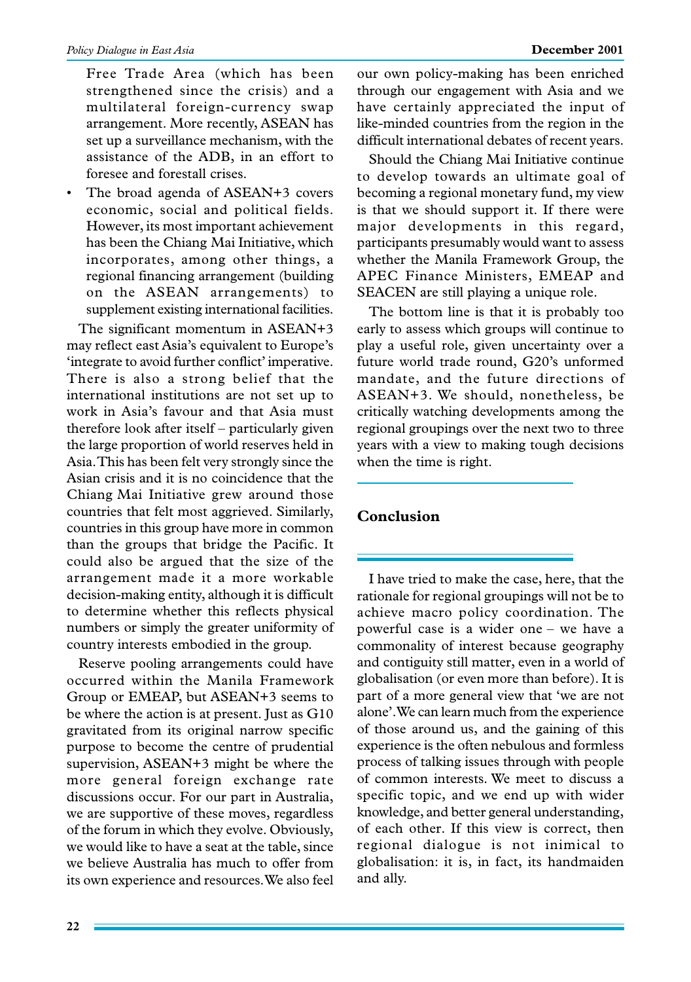Free Trade Area (which has been strengthened since the crisis) and a multilateral foreign-currency swap arrangement. More recently, ASEAN has set up a surveillance mechanism, with the assistance of the ADB, in an effort to foresee and forestall crises.

The broad agenda of ASEAN+3 covers economic, social and political fields. However, its most important achievement has been the Chiang Mai Initiative, which incorporates, among other things, a regional financing arrangement (building on the ASEAN arrangements) to supplement existing international facilities.

The significant momentum in ASEAN+3 may reflect east Asia's equivalent to Europe's 'integrate to avoid further conflict' imperative. There is also a strong belief that the international institutions are not set up to work in Asia's favour and that Asia must therefore look after itself – particularly given the large proportion of world reserves held in Asia. This has been felt very strongly since the Asian crisis and it is no coincidence that the Chiang Mai Initiative grew around those countries that felt most aggrieved. Similarly, countries in this group have more in common than the groups that bridge the Pacific. It could also be argued that the size of the arrangement made it a more workable decision-making entity, although it is difficult to determine whether this reflects physical numbers or simply the greater uniformity of country interests embodied in the group.

Reserve pooling arrangements could have occurred within the Manila Framework Group or EMEAP, but ASEAN+3 seems to be where the action is at present. Just as G10 gravitated from its original narrow specific purpose to become the centre of prudential supervision, ASEAN+3 might be where the more general foreign exchange rate discussions occur. For our part in Australia, we are supportive of these moves, regardless of the forum in which they evolve. Obviously, we would like to have a seat at the table, since we believe Australia has much to offer from its own experience and resources. We also feel our own policy-making has been enriched through our engagement with Asia and we have certainly appreciated the input of like-minded countries from the region in the difficult international debates of recent years.

Should the Chiang Mai Initiative continue to develop towards an ultimate goal of becoming a regional monetary fund, my view is that we should support it. If there were major developments in this regard, participants presumably would want to assess whether the Manila Framework Group, the APEC Finance Ministers, EMEAP and SEACEN are still playing a unique role.

The bottom line is that it is probably too early to assess which groups will continue to play a useful role, given uncertainty over a future world trade round, G20's unformed mandate, and the future directions of ASEAN+3. We should, nonetheless, be critically watching developments among the regional groupings over the next two to three years with a view to making tough decisions when the time is right.

# **Conclusion**

I have tried to make the case, here, that the rationale for regional groupings will not be to achieve macro policy coordination. The powerful case is a wider one – we have a commonality of interest because geography and contiguity still matter, even in a world of globalisation (or even more than before). It is part of a more general view that 'we are not alone'. We can learn much from the experience of those around us, and the gaining of this experience is the often nebulous and formless process of talking issues through with people of common interests. We meet to discuss a specific topic, and we end up with wider knowledge, and better general understanding, of each other. If this view is correct, then regional dialogue is not inimical to globalisation: it is, in fact, its handmaiden and ally.